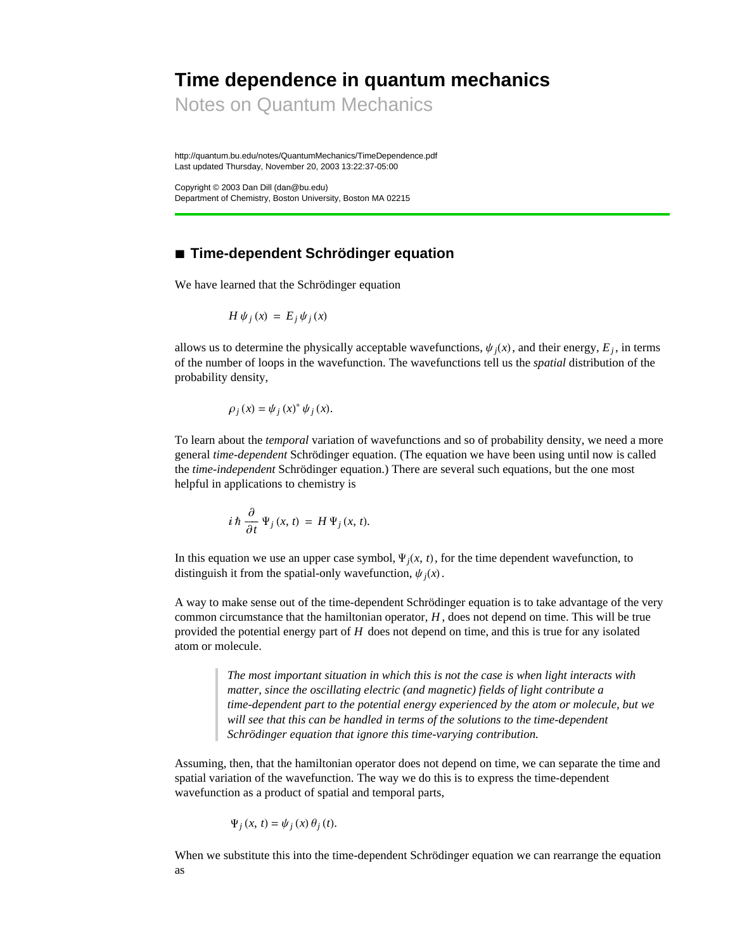# **Time dependence in quantum mechanics**

Notes on Quantum Mechanics

http://quantum.bu.edu/notes/QuantumMechanics/TimeDependence.pdf Last updated Thursday, November 20, 2003 13:22:37-05:00

Copyright © 2003 Dan Dill (dan@bu.edu) Department of Chemistry, Boston University, Boston MA 02215

# **à Time-dependent Schrödinger equation**

We have learned that the Schrödinger equation

$$
H\,\psi_j\,(x)\,=\,E_j\,\psi_j\,(x)
$$

allows us to determine the physically acceptable wavefunctions,  $\psi_i(x)$ , and their energy,  $E_i$ , in terms of the number of loops in the wavefunction. The wavefunctions tell us the *spatial* distribution of the probability density,

$$
\rho_j(x) = \psi_j(x)^* \psi_j(x).
$$

To learn about the *temporal* variation of wavefunctions and so of probability density, we need a more general *time-dependent* Schrödinger equation. (The equation we have been using until now is called the *time-independent* Schrödinger equation.) There are several such equations, but the one most helpful in applications to chemistry is

$$
i\,\hbar\,\frac{\partial}{\partial t}\,\Psi_j\,(x,\,t)\,=\,H\,\Psi_j\,(x,\,t).
$$

In this equation we use an upper case symbol,  $\Psi_i(x, t)$ , for the time dependent wavefunction, to distinguish it from the spatial-only wavefunction,  $\psi_i(x)$ .

A way to make sense out of the time-dependent Schrödinger equation is to take advantage of the very common circumstance that the hamiltonian operator, *H* , does not depend on time. This will be true provided the potential energy part of *H* does not depend on time, and this is true for any isolated atom or molecule.

> *The most important situation in which this is not the case is when light interacts with matter, since the oscillating electric (and magnetic) fields of light contribute a time-dependent part to the potential energy experienced by the atom or molecule, but we will see that this can be handled in terms of the solutions to the time-dependent Schrödinger equation that ignore this time-varying contribution.*

Assuming, then, that the hamiltonian operator does not depend on time, we can separate the time and spatial variation of the wavefunction. The way we do this is to express the time-dependent wavefunction as a product of spatial and temporal parts,

$$
\Psi_j(x, t) = \psi_j(x) \theta_j(t).
$$

When we substitute this into the time-dependent Schrödinger equation we can rearrange the equation as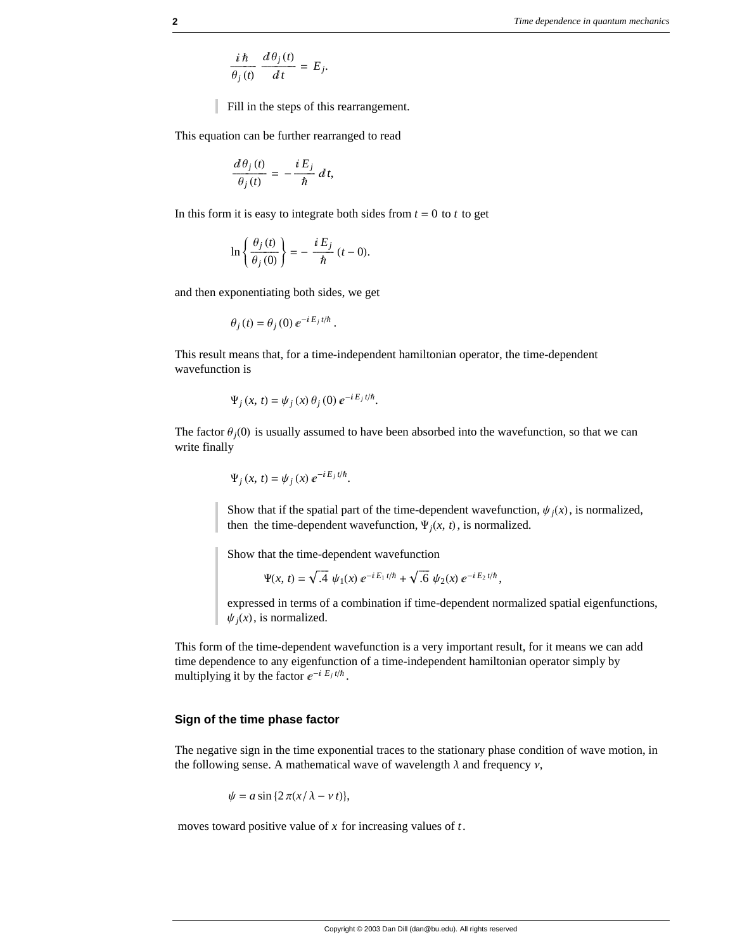$$
\frac{i\,\hbar}{\theta_j\,(t)}\,\frac{d\,\theta_j\,(t)}{d\,t}\,=\,E_j.
$$

Fill in the steps of this rearrangement.

This equation can be further rearranged to read

$$
\frac{d\theta_j(t)}{\theta_j(t)} = -\frac{i E_j}{\hbar} dt,
$$

In this form it is easy to integrate both sides from  $t = 0$  to  $t$  to get

$$
\ln\left\{\frac{\theta_j\left(t\right)}{\theta_j\left(0\right)}\right\}=-\frac{iE_j}{\hbar}\left(t-0\right).
$$

and then exponentiating both sides, we get

$$
\theta_j(t) = \theta_j(0) e^{-i E_j t/\hbar}.
$$

This result means that, for a time-independent hamiltonian operator, the time-dependent wavefunction is

$$
\Psi_j(x, t) = \psi_j(x) \theta_j(0) e^{-i E_j t/\hbar}.
$$

The factor  $\theta_i(0)$  is usually assumed to have been absorbed into the wavefunction, so that we can write finally

$$
\Psi_j(x, t) = \psi_j(x) e^{-i E_j t/\hbar}.
$$

Show that if the spatial part of the time-dependent wavefunction,  $\psi_i(x)$ , is normalized, then the time-dependent wavefunction,  $\Psi_i(x, t)$ , is normalized.

Show that the time-dependent wavefunction

$$
\Psi(x, t) = \sqrt{.4} \ \psi_1(x) \ e^{-iE_1 t/\hbar} + \sqrt{.6} \ \psi_2(x) \ e^{-iE_2 t/\hbar},
$$

expressed in terms of a combination if time-dependent normalized spatial eigenfunctions,  $\psi_i(x)$ , is normalized.

This form of the time-dependent wavefunction is a very important result, for it means we can add time dependence to any eigenfunction of a time-independent hamiltonian operator simply by multiplying it by the factor  $e^{-i E_j t/\hbar}$ .

### **Sign of the time phase factor**

The negative sign in the time exponential traces to the stationary phase condition of wave motion, in the following sense. A mathematical wave of wavelength  $\lambda$  and frequency  $\nu$ ,

$$
\psi = a \sin \{2\pi (x/\lambda - v t)\},\
$$

moves toward positive value of *x* for increasing values of *t*.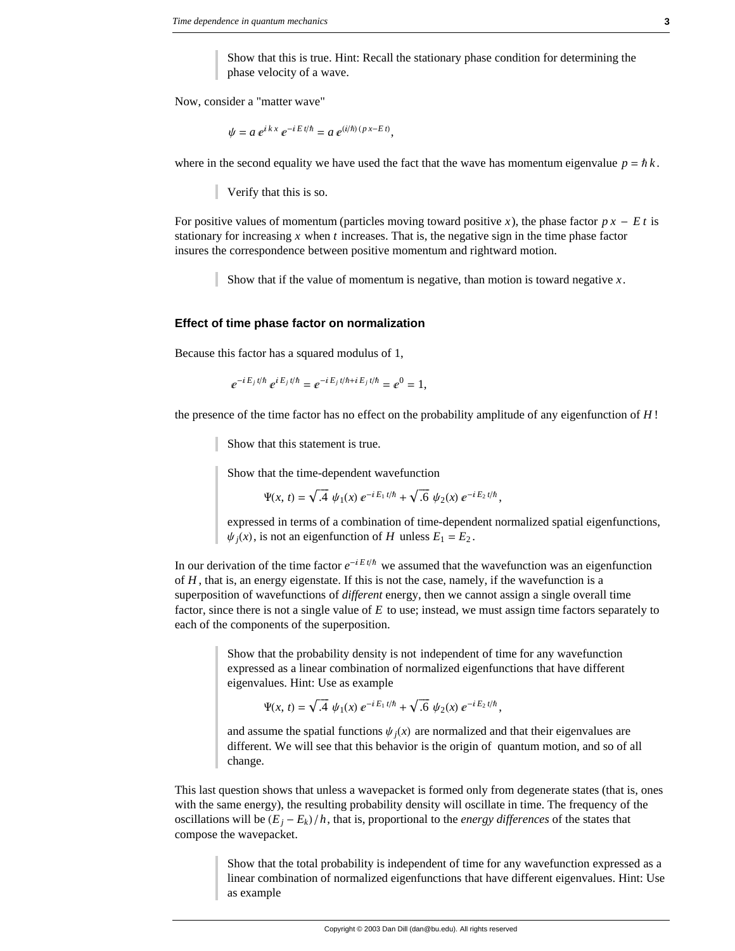Show that this is true. Hint: Recall the stationary phase condition for determining the phase velocity of a wave.

Now, consider a "matter wave"

$$
\psi = a e^{i k x} e^{-i E t/\hbar} = a e^{(i/\hbar)(p x - E t)},
$$

where in the second equality we have used the fact that the wave has momentum eigenvalue  $p = \hbar k$ .

Verify that this is so.

For positive values of momentum (particles moving toward positive *x*), the phase factor  $p x - E t$  is stationary for increasing *x* when *t* increases. That is, the negative sign in the time phase factor insures the correspondence between positive momentum and rightward motion.

Show that if the value of momentum is negative, than motion is toward negative *x*.

### **Effect of time phase factor on normalization**

Because this factor has a squared modulus of 1,

$$
e^{-i E_j t/\hbar} e^{i E_j t/\hbar} = e^{-i E_j t/\hbar + i E_j t/\hbar} = e^0 = 1,
$$

the presence of the time factor has no effect on the probability amplitude of any eigenfunction of *H* !

Show that this statement is true.

Show that the time-dependent wavefunction

$$
\Psi(x, t) = \sqrt{.4} \ \psi_1(x) \ e^{-iE_1 t/\hbar} + \sqrt{.6} \ \psi_2(x) \ e^{-iE_2 t/\hbar},
$$

expressed in terms of a combination of time-dependent normalized spatial eigenfunctions,  $\psi_i(x)$ , is not an eigenfunction of *H* unless  $E_1 = E_2$ .

In our derivation of the time factor  $e^{-iE t/\hbar}$  we assumed that the wavefunction was an eigenfunction of *H* , that is, an energy eigenstate. If this is not the case, namely, if the wavefunction is a superposition of wavefunctions of *different* energy, then we cannot assign a single overall time factor, since there is not a single value of *E* to use; instead, we must assign time factors separately to each of the components of the superposition.

> Show that the probability density is not independent of time for any wavefunction expressed as a linear combination of normalized eigenfunctions that have different eigenvalues. Hint: Use as example

$$
\Psi(x, t) = \sqrt{.4} \ \psi_1(x) \ e^{-iE_1 t/\hbar} + \sqrt{.6} \ \psi_2(x) \ e^{-iE_2 t/\hbar},
$$

and assume the spatial functions  $\psi_i(x)$  are normalized and that their eigenvalues are different. We will see that this behavior is the origin of quantum motion, and so of all change.

This last question shows that unless a wavepacket is formed only from degenerate states (that is, ones with the same energy), the resulting probability density will oscillate in time. The frequency of the oscillations will be  $(E_i - E_k)/h$ , that is, proportional to the *energy differences* of the states that compose the wavepacket.

> Show that the total probability is independent of time for any wavefunction expressed as a linear combination of normalized eigenfunctions that have different eigenvalues. Hint: Use as example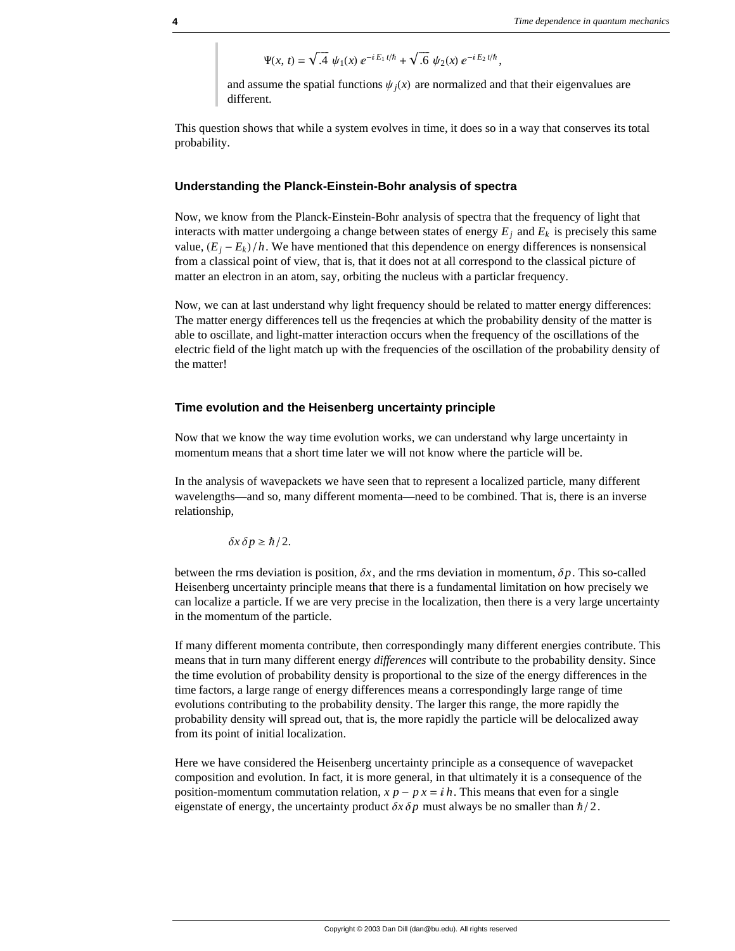$$
\Psi(x, t) = \sqrt{.4} \psi_1(x) e^{-iE_1 t/\hbar} + \sqrt{.6} \psi_2(x) e^{-iE_2 t/\hbar},
$$

and assume the spatial functions  $\psi_i(x)$  are normalized and that their eigenvalues are different.

This question shows that while a system evolves in time, it does so in a way that conserves its total probability.

#### **Understanding the Planck-Einstein-Bohr analysis of spectra**

Now, we know from the Planck-Einstein-Bohr analysis of spectra that the frequency of light that interacts with matter undergoing a change between states of energy  $E_i$  and  $E_k$  is precisely this same value,  $(E_i - E_k)/h$ . We have mentioned that this dependence on energy differences is nonsensical from a classical point of view, that is, that it does not at all correspond to the classical picture of matter an electron in an atom, say, orbiting the nucleus with a particlar frequency.

Now, we can at last understand why light frequency should be related to matter energy differences: The matter energy differences tell us the freqencies at which the probability density of the matter is able to oscillate, and light-matter interaction occurs when the frequency of the oscillations of the electric field of the light match up with the frequencies of the oscillation of the probability density of the matter!

#### **Time evolution and the Heisenberg uncertainty principle**

Now that we know the way time evolution works, we can understand why large uncertainty in momentum means that a short time later we will not know where the particle will be.

In the analysis of wavepackets we have seen that to represent a localized particle, many different wavelengths—and so, many different momenta—need to be combined. That is, there is an inverse relationship,

$$
\delta x \, \delta p \geq \hbar/2.
$$

between the rms deviation is position,  $\delta x$ , and the rms deviation in momentum,  $\delta p$ . This so-called Heisenberg uncertainty principle means that there is a fundamental limitation on how precisely we can localize a particle. If we are very precise in the localization, then there is a very large uncertainty in the momentum of the particle.

If many different momenta contribute, then correspondingly many different energies contribute. This means that in turn many different energy *differences* will contribute to the probability density. Since the time evolution of probability density is proportional to the size of the energy differences in the time factors, a large range of energy differences means a correspondingly large range of time evolutions contributing to the probability density. The larger this range, the more rapidly the probability density will spread out, that is, the more rapidly the particle will be delocalized away from its point of initial localization.

Here we have considered the Heisenberg uncertainty principle as a consequence of wavepacket composition and evolution. In fact, it is more general, in that ultimately it is a consequence of the position-momentum commutation relation,  $x p - p x = i h$ . This means that even for a single eigenstate of energy, the uncertainty product  $\delta x \, \delta p$  must always be no smaller than  $\hbar/2$ .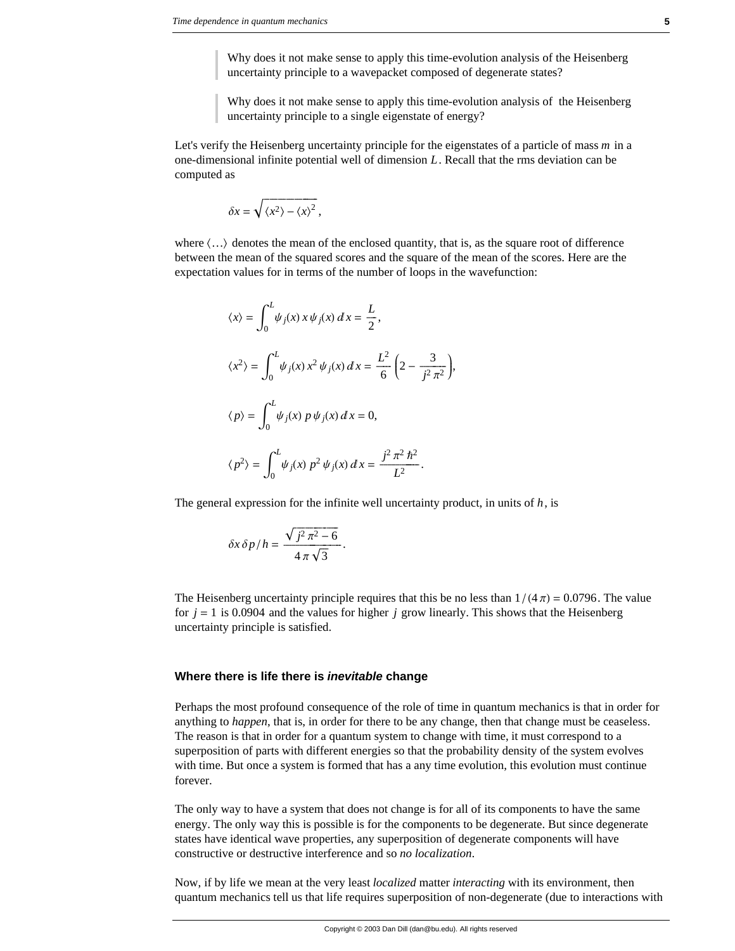Why does it not make sense to apply this time-evolution analysis of the Heisenberg uncertainty principle to a wavepacket composed of degenerate states?

Why does it not make sense to apply this time-evolution analysis of the Heisenberg uncertainty principle to a single eigenstate of energy?

Let's verify the Heisenberg uncertainty principle for the eigenstates of a particle of mass *m* in a one-dimensional infinite potential well of dimension *L*. Recall that the rms deviation can be computed as

$$
\delta x = \sqrt{\langle x^2 \rangle - \langle x \rangle^2},
$$

where  $\langle \ldots \rangle$  denotes the mean of the enclosed quantity, that is, as the square root of difference between the mean of the squared scores and the square of the mean of the scores. Here are the expectation values for in terms of the number of loops in the wavefunction:

$$
\langle x \rangle = \int_0^L \psi_j(x) x \psi_j(x) dx = \frac{L}{2},
$$
  
\n
$$
\langle x^2 \rangle = \int_0^L \psi_j(x) x^2 \psi_j(x) dx = \frac{L^2}{6} \left( 2 - \frac{3}{j^2 \pi^2} \right),
$$
  
\n
$$
\langle p \rangle = \int_0^L \psi_j(x) p \psi_j(x) dx = 0,
$$
  
\n
$$
\langle p^2 \rangle = \int_0^L \psi_j(x) p^2 \psi_j(x) dx = \frac{j^2 \pi^2 \hbar^2}{L^2}.
$$

The general expression for the infinite well uncertainty product, in units of  $h$ , is

$$
\delta x \, \delta p / h = \frac{\sqrt{j^2 \pi^2 - 6}}{4 \pi \sqrt{3}}.
$$

The Heisenberg uncertainty principle requires that this be no less than  $1/(4 \pi) = 0.0796$ . The value for  $j = 1$  is 0.0904 and the values for higher  $j$  grow linearly. This shows that the Heisenberg uncertainty principle is satisfied.

#### **Where there is life there is** *inevitable* **change**

Perhaps the most profound consequence of the role of time in quantum mechanics is that in order for anything to *happen*, that is, in order for there to be any change, then that change must be ceaseless. The reason is that in order for a quantum system to change with time, it must correspond to a superposition of parts with different energies so that the probability density of the system evolves with time. But once a system is formed that has a any time evolution, this evolution must continue forever.

The only way to have a system that does not change is for all of its components to have the same energy. The only way this is possible is for the components to be degenerate. But since degenerate states have identical wave properties, any superposition of degenerate components will have constructive or destructive interference and so *no localization*.

Now, if by life we mean at the very least *localized* matter *interacting* with its environment, then quantum mechanics tell us that life requires superposition of non-degenerate (due to interactions with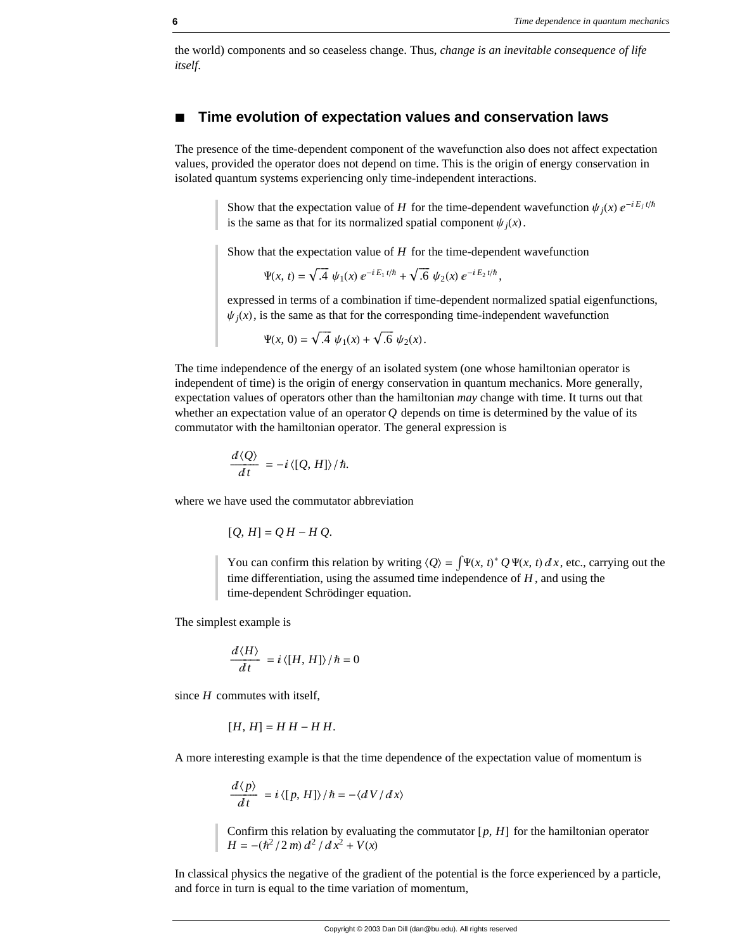the world) components and so ceaseless change. Thus, *change is an inevitable consequence of life itself*.

## **à Time evolution of expectation values and conservation laws**

The presence of the time-dependent component of the wavefunction also does not affect expectation values, provided the operator does not depend on time. This is the origin of energy conservation in isolated quantum systems experiencing only time-independent interactions.

> Show that the expectation value of *H* for the time-dependent wavefunction  $\psi_i(x) e^{-iE_j t/\hbar}$ is the same as that for its normalized spatial component  $\psi_i(x)$ .

Show that the expectation value of *H* for the time-dependent wavefunction

$$
\Psi(x, t) = \sqrt{.4} \ \psi_1(x) \ e^{-iE_1 t/\hbar} + \sqrt{.6} \ \psi_2(x) \ e^{-iE_2 t/\hbar},
$$

expressed in terms of a combination if time-dependent normalized spatial eigenfunctions,  $\psi_j(x)$ , is the same as that for the corresponding time-independent wavefunction

$$
\Psi(x, 0) = \sqrt{.4} \psi_1(x) + \sqrt{.6} \psi_2(x).
$$

The time independence of the energy of an isolated system (one whose hamiltonian operator is independent of time) is the origin of energy conservation in quantum mechanics. More generally, expectation values of operators other than the hamiltonian *may* change with time. It turns out that whether an expectation value of an operator  $Q$  depends on time is determined by the value of its commutator with the hamiltonian operator. The general expression is

$$
\frac{d\langle Q\rangle}{dt} = -i\langle [Q, H]\rangle/\hbar.
$$

where we have used the commutator abbreviation

$$
[Q, H] = QH - HQ.
$$

You can confirm this relation by writing  $\langle Q \rangle = \int \Psi(x, t)^* Q \Psi(x, t) dx$ , etc., carrying out the time differentiation, using the assumed time independence of *H* , and using the time-dependent Schrödinger equation.

The simplest example is

$$
\frac{d\langle H\rangle}{dt}=i\langle [H,H]\rangle/\hbar=0
$$

since *H* commutes with itself,

$$
[H, H] = H H - H H.
$$

A more interesting example is that the time dependence of the expectation value of momentum is

$$
\frac{d\langle p\rangle}{dt} = i \langle [p, H]\rangle / \hbar = -\langle dV/dx\rangle
$$

Confirm this relation by evaluating the commutator  $[p, H]$  for the hamiltonian operator  $H = -(\hbar^2/2 m) d^2 / dx^2 + V(x)$ 

In classical physics the negative of the gradient of the potential is the force experienced by a particle, and force in turn is equal to the time variation of momentum,